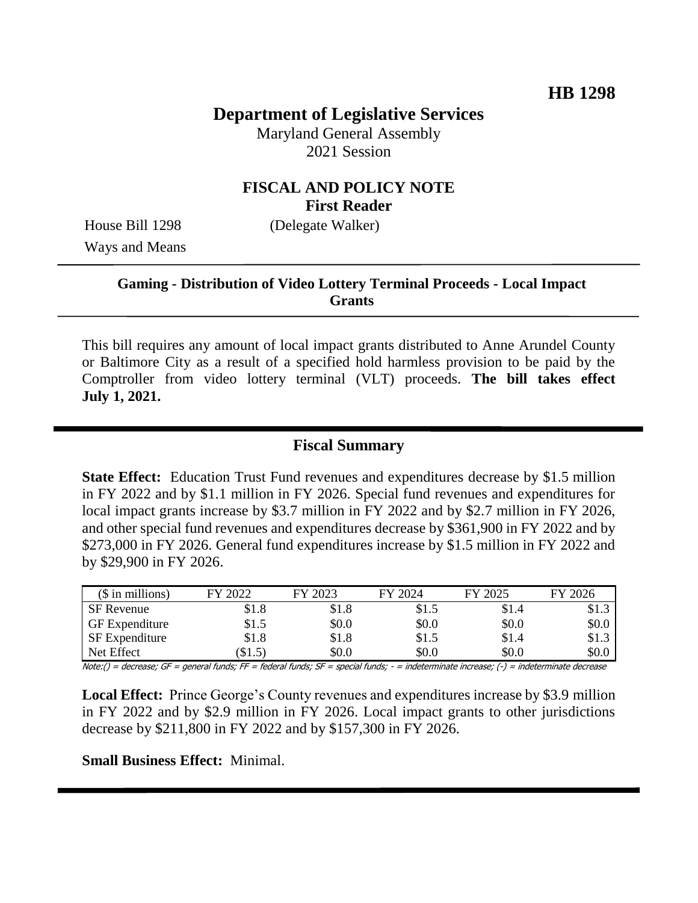# **Department of Legislative Services**

Maryland General Assembly 2021 Session

## **FISCAL AND POLICY NOTE First Reader**

Ways and Means

House Bill 1298 (Delegate Walker)

### **Gaming - Distribution of Video Lottery Terminal Proceeds - Local Impact Grants**

This bill requires any amount of local impact grants distributed to Anne Arundel County or Baltimore City as a result of a specified hold harmless provision to be paid by the Comptroller from video lottery terminal (VLT) proceeds. **The bill takes effect July 1, 2021.**

#### **Fiscal Summary**

**State Effect:** Education Trust Fund revenues and expenditures decrease by \$1.5 million in FY 2022 and by \$1.1 million in FY 2026. Special fund revenues and expenditures for local impact grants increase by \$3.7 million in FY 2022 and by \$2.7 million in FY 2026, and other special fund revenues and expenditures decrease by \$361,900 in FY 2022 and by \$273,000 in FY 2026. General fund expenditures increase by \$1.5 million in FY 2022 and by \$29,900 in FY 2026.

| $($$ in millions)     | FY 2022 | FY 2023 | FY 2024 | FY 2025 | FY 2026               |
|-----------------------|---------|---------|---------|---------|-----------------------|
| <b>SF</b> Revenue     | \$1.8   | \$1.8   | \$1.5   | \$1.4   | \$1.3                 |
| <b>GF</b> Expenditure | \$1.5   | \$0.0   | \$0.0   | \$0.0   | \$0.0                 |
| SF Expenditure        | \$1.8   | \$1.8   | \$1.5   | \$1.4   | \$1.3<br>$\mathbf{c}$ |
| Net Effect            | \$1.5)  | \$0.0   | \$0.0   | \$0.0   | \$0.0                 |

Note:() = decrease; GF = general funds; FF = federal funds; SF = special funds; - = indeterminate increase; (-) = indeterminate decrease

**Local Effect:** Prince George's County revenues and expenditures increase by \$3.9 million in FY 2022 and by \$2.9 million in FY 2026. Local impact grants to other jurisdictions decrease by \$211,800 in FY 2022 and by \$157,300 in FY 2026.

**Small Business Effect:** Minimal.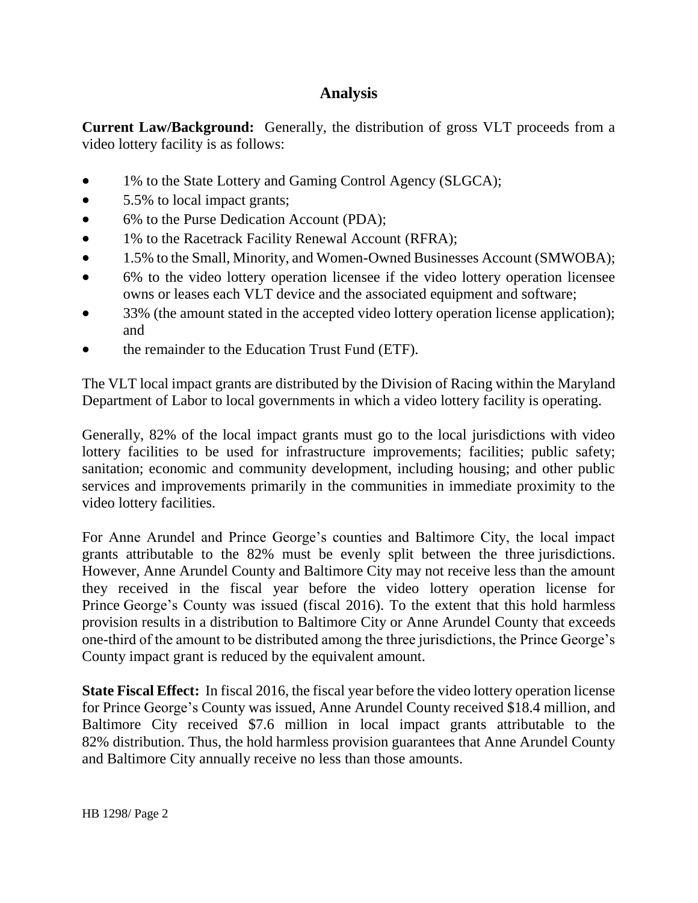# **Analysis**

**Current Law/Background:** Generally, the distribution of gross VLT proceeds from a video lottery facility is as follows:

- 1% to the State Lottery and Gaming Control Agency (SLGCA);
- 5.5% to local impact grants;
- 6% to the Purse Dedication Account (PDA);
- 1% to the Racetrack Facility Renewal Account (RFRA);
- 1.5% to the Small, Minority, and Women-Owned Businesses Account (SMWOBA);
- 6% to the video lottery operation licensee if the video lottery operation licensee owns or leases each VLT device and the associated equipment and software;
- 33% (the amount stated in the accepted video lottery operation license application); and
- the remainder to the Education Trust Fund (ETF).

The VLT local impact grants are distributed by the Division of Racing within the Maryland Department of Labor to local governments in which a video lottery facility is operating.

Generally, 82% of the local impact grants must go to the local jurisdictions with video lottery facilities to be used for infrastructure improvements; facilities; public safety; sanitation; economic and community development, including housing; and other public services and improvements primarily in the communities in immediate proximity to the video lottery facilities.

For Anne Arundel and Prince George's counties and Baltimore City, the local impact grants attributable to the 82% must be evenly split between the three jurisdictions. However, Anne Arundel County and Baltimore City may not receive less than the amount they received in the fiscal year before the video lottery operation license for Prince George's County was issued (fiscal 2016). To the extent that this hold harmless provision results in a distribution to Baltimore City or Anne Arundel County that exceeds one-third of the amount to be distributed among the three jurisdictions, the Prince George's County impact grant is reduced by the equivalent amount.

**State Fiscal Effect:** In fiscal 2016, the fiscal year before the video lottery operation license for Prince George's County was issued, Anne Arundel County received \$18.4 million, and Baltimore City received \$7.6 million in local impact grants attributable to the 82% distribution. Thus, the hold harmless provision guarantees that Anne Arundel County and Baltimore City annually receive no less than those amounts.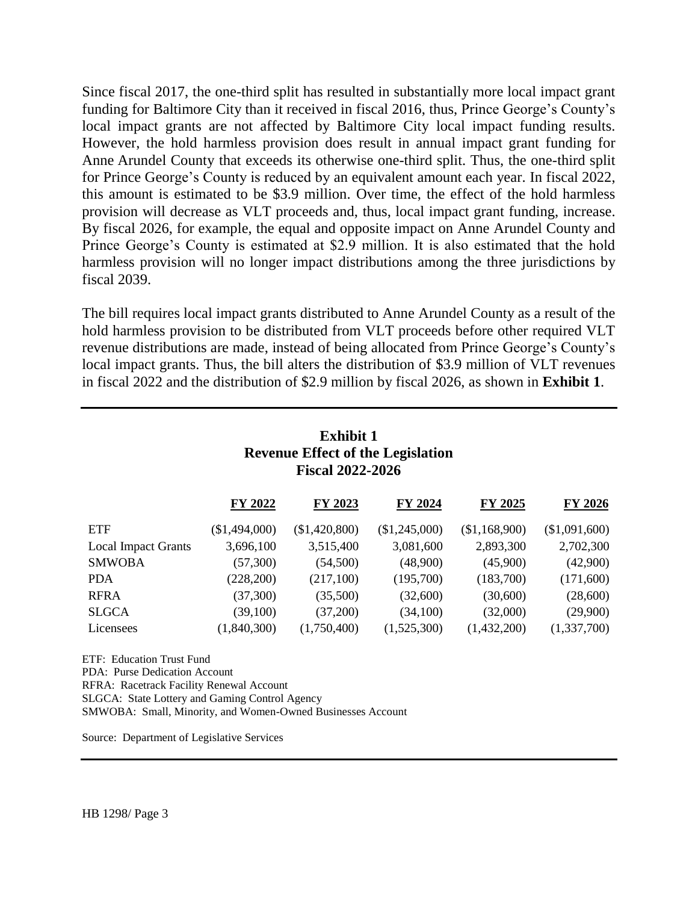Since fiscal 2017, the one-third split has resulted in substantially more local impact grant funding for Baltimore City than it received in fiscal 2016, thus, Prince George's County's local impact grants are not affected by Baltimore City local impact funding results. However, the hold harmless provision does result in annual impact grant funding for Anne Arundel County that exceeds its otherwise one-third split. Thus, the one-third split for Prince George's County is reduced by an equivalent amount each year. In fiscal 2022, this amount is estimated to be \$3.9 million. Over time, the effect of the hold harmless provision will decrease as VLT proceeds and, thus, local impact grant funding, increase. By fiscal 2026, for example, the equal and opposite impact on Anne Arundel County and Prince George's County is estimated at \$2.9 million. It is also estimated that the hold harmless provision will no longer impact distributions among the three jurisdictions by fiscal 2039.

The bill requires local impact grants distributed to Anne Arundel County as a result of the hold harmless provision to be distributed from VLT proceeds before other required VLT revenue distributions are made, instead of being allocated from Prince George's County's local impact grants. Thus, the bill alters the distribution of \$3.9 million of VLT revenues in fiscal 2022 and the distribution of \$2.9 million by fiscal 2026, as shown in **Exhibit 1**.

| <b>Exhibit 1</b><br><b>Revenue Effect of the Legislation</b><br><b>Fiscal 2022-2026</b> |               |               |               |                |  |  |  |  |
|-----------------------------------------------------------------------------------------|---------------|---------------|---------------|----------------|--|--|--|--|
| FY 2022                                                                                 | FY 2023       | FY 2024       | FY 2025       | <b>FY 2026</b> |  |  |  |  |
| (\$1,494,000)                                                                           | (\$1,420,800) | (\$1,245,000) | (\$1,168,900) | (\$1,091,600)  |  |  |  |  |
| 3,696,100                                                                               | 3,515,400     | 3,081,600     | 2,893,300     | 2,702,300      |  |  |  |  |
| (57,300)                                                                                | (54,500)      | (48,900)      | (45,900)      | (42,900)       |  |  |  |  |
| (228, 200)                                                                              | (217,100)     | (195,700)     | (183,700)     | (171,600)      |  |  |  |  |
| (37,300)                                                                                | (35,500)      | (32,600)      | (30,600)      | (28,600)       |  |  |  |  |
| (39,100)                                                                                | (37,200)      | (34,100)      | (32,000)      | (29,900)       |  |  |  |  |
| (1,840,300)                                                                             | (1,750,400)   | (1,525,300)   | (1,432,200)   | (1,337,700)    |  |  |  |  |
|                                                                                         |               |               |               |                |  |  |  |  |

ETF: Education Trust Fund PDA: Purse Dedication Account RFRA: Racetrack Facility Renewal Account SLGCA: State Lottery and Gaming Control Agency SMWOBA: Small, Minority, and Women-Owned Businesses Account

Source: Department of Legislative Services